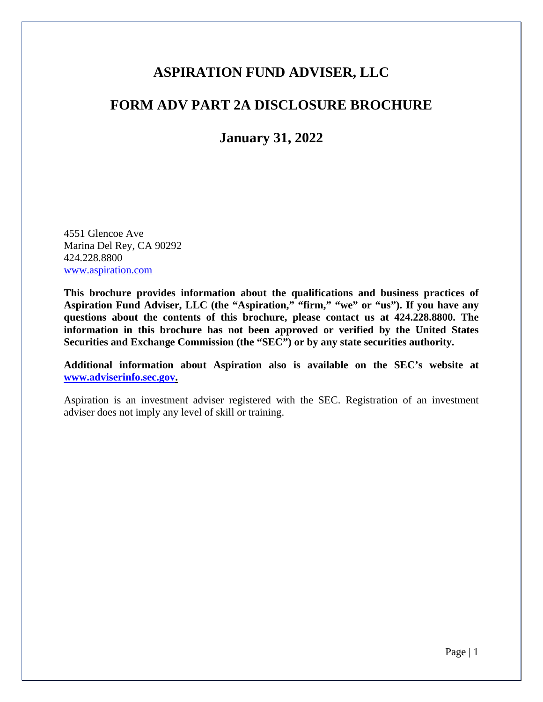# **ASPIRATION FUND ADVISER, LLC**

# **FORM ADV PART 2A DISCLOSURE BROCHURE**

**January 31, 2022**

4551 Glencoe Ave Marina Del Rey, CA 90292 424.228.8800 www.aspiration.com

**This brochure provides information about the qualifications and business practices of Aspiration Fund Adviser, LLC (the "Aspiration," "firm," "we" or "us"). If you have any questions about the contents of this brochure, please contact us at 424.228.8800. The information in this brochure has not been approved or verified by the United States Securities and Exchange Commission (the "SEC") or by any state securities authority.**

**Additional information about Aspiration also is available on the SEC's website at www.adviserinfo.sec.gov.**

Aspiration is an investment adviser registered with the SEC. Registration of an investment adviser does not imply any level of skill or training.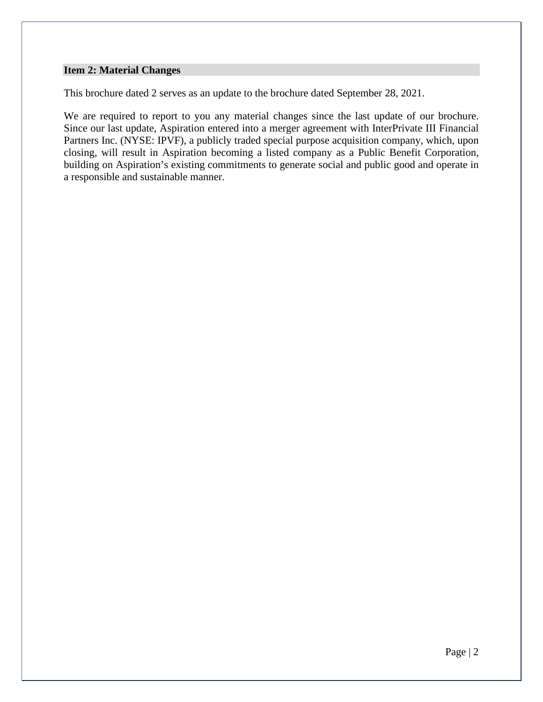#### **Item 2: Material Changes**

This brochure dated 2 serves as an update to the brochure dated September 28, 2021.

We are required to report to you any material changes since the last update of our brochure. Since our last update, Aspiration entered into a merger agreement with InterPrivate III Financial Partners Inc. (NYSE: IPVF), a publicly traded special purpose acquisition company, which, upon closing, will result in Aspiration becoming a listed company as a Public Benefit Corporation, building on Aspiration's existing commitments to generate social and public good and operate in a responsible and sustainable manner.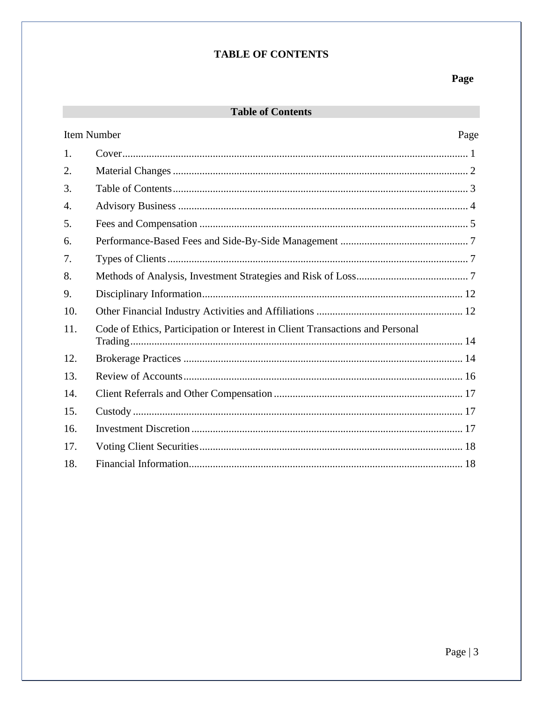## **TABLE OF CONTENTS**

## Page

## **Table of Contents**

| Item Number                                                                   |      |
|-------------------------------------------------------------------------------|------|
|                                                                               |      |
|                                                                               |      |
|                                                                               |      |
|                                                                               |      |
|                                                                               |      |
|                                                                               |      |
|                                                                               |      |
|                                                                               |      |
|                                                                               |      |
|                                                                               |      |
| Code of Ethics, Participation or Interest in Client Transactions and Personal |      |
|                                                                               |      |
|                                                                               |      |
|                                                                               |      |
|                                                                               |      |
|                                                                               |      |
|                                                                               |      |
|                                                                               |      |
|                                                                               | Page |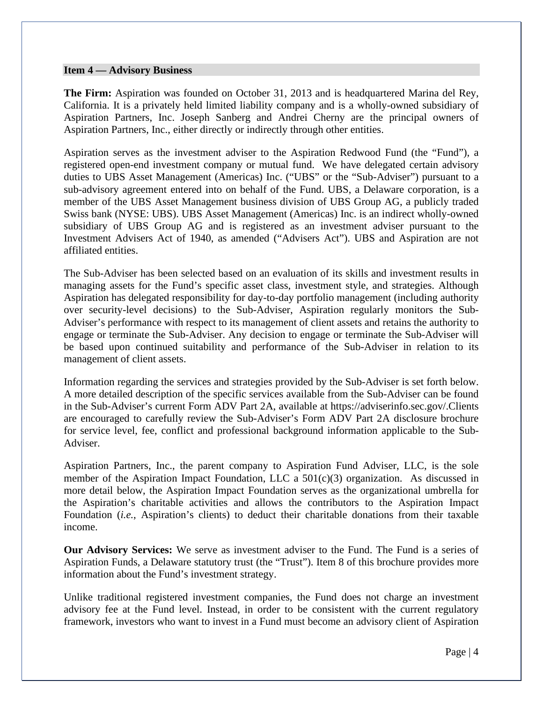#### **Item 4 — Advisory Business**

**The Firm:** Aspiration was founded on October 31, 2013 and is headquartered Marina del Rey, California. It is a privately held limited liability company and is a wholly-owned subsidiary of Aspiration Partners, Inc. Joseph Sanberg and Andrei Cherny are the principal owners of Aspiration Partners, Inc., either directly or indirectly through other entities.

Aspiration serves as the investment adviser to the Aspiration Redwood Fund (the "Fund"), a registered open-end investment company or mutual fund. We have delegated certain advisory duties to UBS Asset Management (Americas) Inc. ("UBS" or the "Sub-Adviser") pursuant to a sub-advisory agreement entered into on behalf of the Fund. UBS, a Delaware corporation, is a member of the UBS Asset Management business division of UBS Group AG, a publicly traded Swiss bank (NYSE: UBS). UBS Asset Management (Americas) Inc. is an indirect wholly-owned subsidiary of UBS Group AG and is registered as an investment adviser pursuant to the Investment Advisers Act of 1940, as amended ("Advisers Act"). UBS and Aspiration are not affiliated entities.

The Sub-Adviser has been selected based on an evaluation of its skills and investment results in managing assets for the Fund's specific asset class, investment style, and strategies. Although Aspiration has delegated responsibility for day-to-day portfolio management (including authority over security-level decisions) to the Sub-Adviser, Aspiration regularly monitors the Sub-Adviser's performance with respect to its management of client assets and retains the authority to engage or terminate the Sub-Adviser. Any decision to engage or terminate the Sub-Adviser will be based upon continued suitability and performance of the Sub-Adviser in relation to its management of client assets.

Information regarding the services and strategies provided by the Sub-Adviser is set forth below. A more detailed description of the specific services available from the Sub-Adviser can be found in the Sub-Adviser's current Form ADV Part 2A, available at https://adviserinfo.sec.gov/.Clients are encouraged to carefully review the Sub-Adviser's Form ADV Part 2A disclosure brochure for service level, fee, conflict and professional background information applicable to the Sub-Adviser.

Aspiration Partners, Inc., the parent company to Aspiration Fund Adviser, LLC, is the sole member of the Aspiration Impact Foundation, LLC a 501(c)(3) organization. As discussed in more detail below, the Aspiration Impact Foundation serves as the organizational umbrella for the Aspiration's charitable activities and allows the contributors to the Aspiration Impact Foundation (*i.e.*, Aspiration's clients) to deduct their charitable donations from their taxable income.

**Our Advisory Services:** We serve as investment adviser to the Fund. The Fund is a series of Aspiration Funds, a Delaware statutory trust (the "Trust"). Item 8 of this brochure provides more information about the Fund's investment strategy.

Unlike traditional registered investment companies, the Fund does not charge an investment advisory fee at the Fund level. Instead, in order to be consistent with the current regulatory framework, investors who want to invest in a Fund must become an advisory client of Aspiration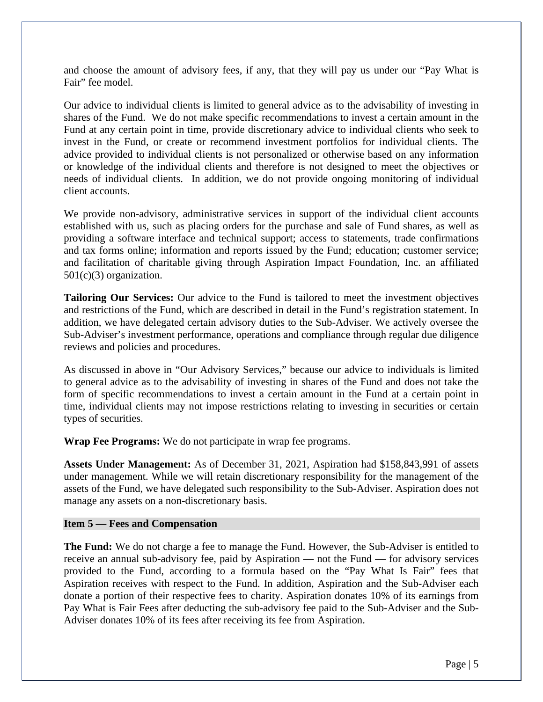and choose the amount of advisory fees, if any, that they will pay us under our "Pay What is Fair" fee model.

Our advice to individual clients is limited to general advice as to the advisability of investing in shares of the Fund. We do not make specific recommendations to invest a certain amount in the Fund at any certain point in time, provide discretionary advice to individual clients who seek to invest in the Fund, or create or recommend investment portfolios for individual clients. The advice provided to individual clients is not personalized or otherwise based on any information or knowledge of the individual clients and therefore is not designed to meet the objectives or needs of individual clients. In addition, we do not provide ongoing monitoring of individual client accounts.

We provide non-advisory, administrative services in support of the individual client accounts established with us, such as placing orders for the purchase and sale of Fund shares, as well as providing a software interface and technical support; access to statements, trade confirmations and tax forms online; information and reports issued by the Fund; education; customer service; and facilitation of charitable giving through Aspiration Impact Foundation, Inc. an affiliated  $501(c)(3)$  organization.

**Tailoring Our Services:** Our advice to the Fund is tailored to meet the investment objectives and restrictions of the Fund, which are described in detail in the Fund's registration statement. In addition, we have delegated certain advisory duties to the Sub-Adviser. We actively oversee the Sub-Adviser's investment performance, operations and compliance through regular due diligence reviews and policies and procedures.

As discussed in above in "Our Advisory Services," because our advice to individuals is limited to general advice as to the advisability of investing in shares of the Fund and does not take the form of specific recommendations to invest a certain amount in the Fund at a certain point in time, individual clients may not impose restrictions relating to investing in securities or certain types of securities.

**Wrap Fee Programs:** We do not participate in wrap fee programs.

**Assets Under Management:** As of December 31, 2021, Aspiration had \$158,843,991 of assets under management. While we will retain discretionary responsibility for the management of the assets of the Fund, we have delegated such responsibility to the Sub-Adviser. Aspiration does not manage any assets on a non-discretionary basis.

#### **Item 5 — Fees and Compensation**

**The Fund:** We do not charge a fee to manage the Fund. However, the Sub-Adviser is entitled to receive an annual sub-advisory fee, paid by Aspiration — not the Fund — for advisory services provided to the Fund, according to a formula based on the "Pay What Is Fair" fees that Aspiration receives with respect to the Fund. In addition, Aspiration and the Sub-Adviser each donate a portion of their respective fees to charity. Aspiration donates 10% of its earnings from Pay What is Fair Fees after deducting the sub-advisory fee paid to the Sub-Adviser and the Sub-Adviser donates 10% of its fees after receiving its fee from Aspiration.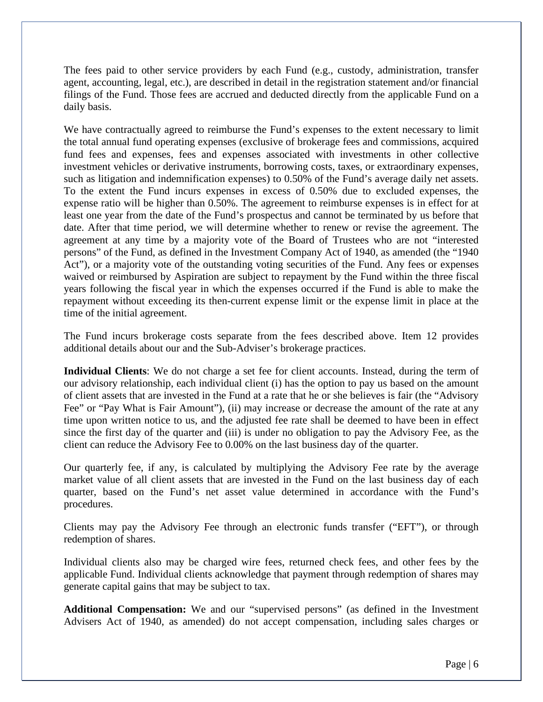The fees paid to other service providers by each Fund (e.g., custody, administration, transfer agent, accounting, legal, etc.), are described in detail in the registration statement and/or financial filings of the Fund. Those fees are accrued and deducted directly from the applicable Fund on a daily basis.

We have contractually agreed to reimburse the Fund's expenses to the extent necessary to limit the total annual fund operating expenses (exclusive of brokerage fees and commissions, acquired fund fees and expenses, fees and expenses associated with investments in other collective investment vehicles or derivative instruments, borrowing costs, taxes, or extraordinary expenses, such as litigation and indemnification expenses) to 0.50% of the Fund's average daily net assets. To the extent the Fund incurs expenses in excess of 0.50% due to excluded expenses, the expense ratio will be higher than 0.50%. The agreement to reimburse expenses is in effect for at least one year from the date of the Fund's prospectus and cannot be terminated by us before that date. After that time period, we will determine whether to renew or revise the agreement. The agreement at any time by a majority vote of the Board of Trustees who are not "interested persons" of the Fund, as defined in the Investment Company Act of 1940, as amended (the "1940 Act"), or a majority vote of the outstanding voting securities of the Fund. Any fees or expenses waived or reimbursed by Aspiration are subject to repayment by the Fund within the three fiscal years following the fiscal year in which the expenses occurred if the Fund is able to make the repayment without exceeding its then-current expense limit or the expense limit in place at the time of the initial agreement.

The Fund incurs brokerage costs separate from the fees described above. Item 12 provides additional details about our and the Sub-Adviser's brokerage practices.

**Individual Clients**: We do not charge a set fee for client accounts. Instead, during the term of our advisory relationship, each individual client (i) has the option to pay us based on the amount of client assets that are invested in the Fund at a rate that he or she believes is fair (the "Advisory Fee" or "Pay What is Fair Amount"), (ii) may increase or decrease the amount of the rate at any time upon written notice to us, and the adjusted fee rate shall be deemed to have been in effect since the first day of the quarter and (iii) is under no obligation to pay the Advisory Fee, as the client can reduce the Advisory Fee to 0.00% on the last business day of the quarter.

Our quarterly fee, if any, is calculated by multiplying the Advisory Fee rate by the average market value of all client assets that are invested in the Fund on the last business day of each quarter, based on the Fund's net asset value determined in accordance with the Fund's procedures.

Clients may pay the Advisory Fee through an electronic funds transfer ("EFT"), or through redemption of shares.

Individual clients also may be charged wire fees, returned check fees, and other fees by the applicable Fund. Individual clients acknowledge that payment through redemption of shares may generate capital gains that may be subject to tax.

**Additional Compensation:** We and our "supervised persons" (as defined in the Investment Advisers Act of 1940, as amended) do not accept compensation, including sales charges or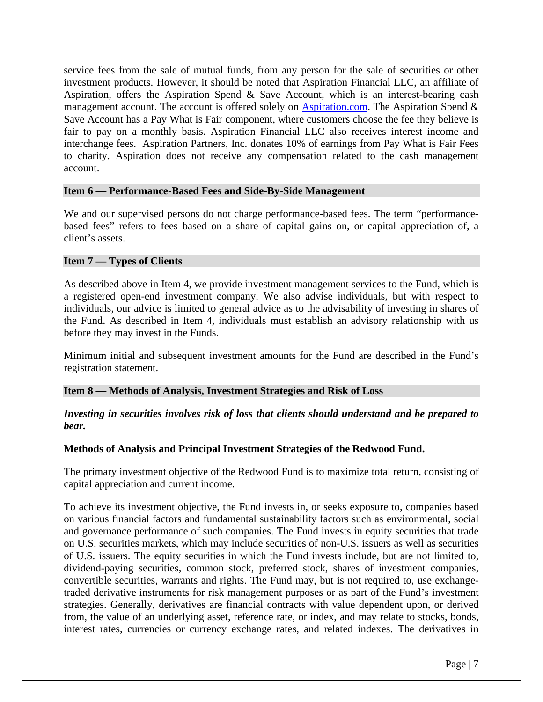service fees from the sale of mutual funds, from any person for the sale of securities or other investment products. However, it should be noted that Aspiration Financial LLC, an affiliate of Aspiration, offers the Aspiration Spend & Save Account, which is an interest-bearing cash management account. The account is offered solely on  $\Delta$ spiration.com. The Aspiration Spend & Save Account has a Pay What is Fair component, where customers choose the fee they believe is fair to pay on a monthly basis. Aspiration Financial LLC also receives interest income and interchange fees. Aspiration Partners, Inc. donates 10% of earnings from Pay What is Fair Fees to charity. Aspiration does not receive any compensation related to the cash management account.

#### **Item 6 — Performance-Based Fees and Side-By-Side Management**

We and our supervised persons do not charge performance-based fees. The term "performancebased fees" refers to fees based on a share of capital gains on, or capital appreciation of, a client's assets.

## **Item 7 — Types of Clients**

As described above in Item 4, we provide investment management services to the Fund, which is a registered open-end investment company. We also advise individuals, but with respect to individuals, our advice is limited to general advice as to the advisability of investing in shares of the Fund. As described in Item 4, individuals must establish an advisory relationship with us before they may invest in the Funds.

Minimum initial and subsequent investment amounts for the Fund are described in the Fund's registration statement.

## **Item 8 — Methods of Analysis, Investment Strategies and Risk of Loss**

## *Investing in securities involves risk of loss that clients should understand and be prepared to bear.*

## **Methods of Analysis and Principal Investment Strategies of the Redwood Fund.**

The primary investment objective of the Redwood Fund is to maximize total return, consisting of capital appreciation and current income.

To achieve its investment objective, the Fund invests in, or seeks exposure to, companies based on various financial factors and fundamental sustainability factors such as environmental, social and governance performance of such companies. The Fund invests in equity securities that trade on U.S. securities markets, which may include securities of non-U.S. issuers as well as securities of U.S. issuers. The equity securities in which the Fund invests include, but are not limited to, dividend-paying securities, common stock, preferred stock, shares of investment companies, convertible securities, warrants and rights. The Fund may, but is not required to, use exchangetraded derivative instruments for risk management purposes or as part of the Fund's investment strategies. Generally, derivatives are financial contracts with value dependent upon, or derived from, the value of an underlying asset, reference rate, or index, and may relate to stocks, bonds, interest rates, currencies or currency exchange rates, and related indexes. The derivatives in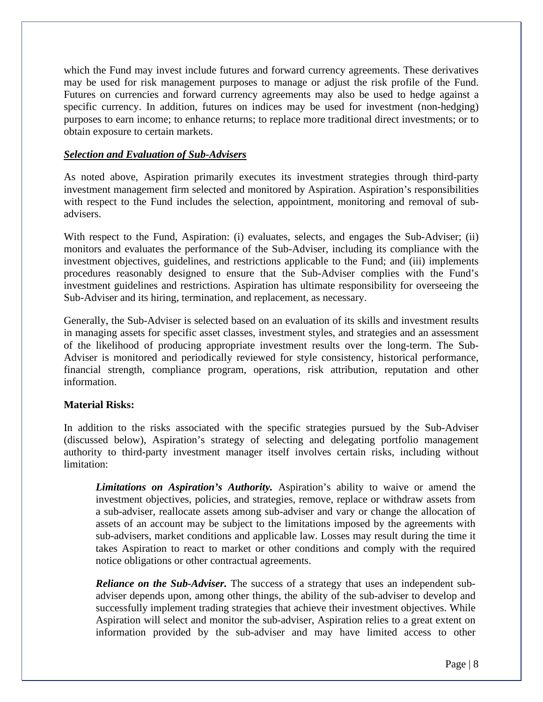which the Fund may invest include futures and forward currency agreements. These derivatives may be used for risk management purposes to manage or adjust the risk profile of the Fund. Futures on currencies and forward currency agreements may also be used to hedge against a specific currency. In addition, futures on indices may be used for investment (non-hedging) purposes to earn income; to enhance returns; to replace more traditional direct investments; or to obtain exposure to certain markets.

## *Selection and Evaluation of Sub-Advisers*

As noted above, Aspiration primarily executes its investment strategies through third-party investment management firm selected and monitored by Aspiration. Aspiration's responsibilities with respect to the Fund includes the selection, appointment, monitoring and removal of subadvisers.

With respect to the Fund, Aspiration: (i) evaluates, selects, and engages the Sub-Adviser; (ii) monitors and evaluates the performance of the Sub-Adviser, including its compliance with the investment objectives, guidelines, and restrictions applicable to the Fund; and (iii) implements procedures reasonably designed to ensure that the Sub-Adviser complies with the Fund's investment guidelines and restrictions. Aspiration has ultimate responsibility for overseeing the Sub-Adviser and its hiring, termination, and replacement, as necessary.

Generally, the Sub-Adviser is selected based on an evaluation of its skills and investment results in managing assets for specific asset classes, investment styles, and strategies and an assessment of the likelihood of producing appropriate investment results over the long-term. The Sub-Adviser is monitored and periodically reviewed for style consistency, historical performance, financial strength, compliance program, operations, risk attribution, reputation and other information.

## **Material Risks:**

In addition to the risks associated with the specific strategies pursued by the Sub-Adviser (discussed below), Aspiration's strategy of selecting and delegating portfolio management authority to third-party investment manager itself involves certain risks, including without limitation:

*Limitations on Aspiration's Authority.* Aspiration's ability to waive or amend the investment objectives, policies, and strategies, remove, replace or withdraw assets from a sub-adviser, reallocate assets among sub-adviser and vary or change the allocation of assets of an account may be subject to the limitations imposed by the agreements with sub-advisers, market conditions and applicable law. Losses may result during the time it takes Aspiration to react to market or other conditions and comply with the required notice obligations or other contractual agreements.

*Reliance on the Sub-Adviser.* The success of a strategy that uses an independent subadviser depends upon, among other things, the ability of the sub-adviser to develop and successfully implement trading strategies that achieve their investment objectives. While Aspiration will select and monitor the sub-adviser, Aspiration relies to a great extent on information provided by the sub-adviser and may have limited access to other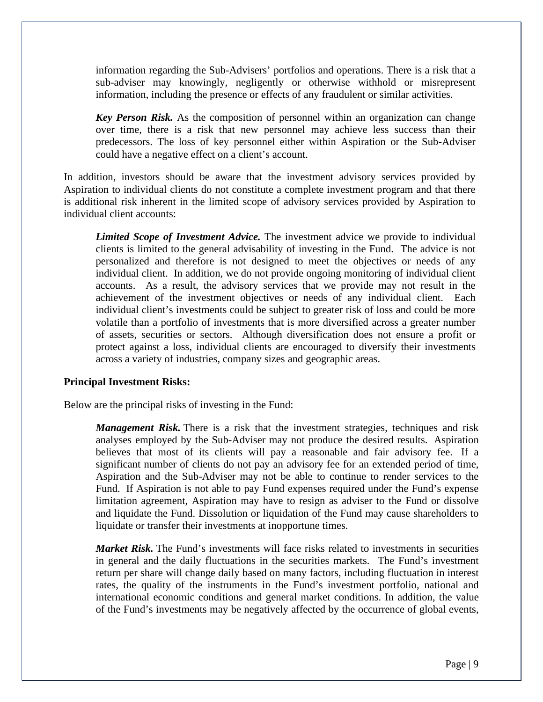information regarding the Sub-Advisers' portfolios and operations. There is a risk that a sub-adviser may knowingly, negligently or otherwise withhold or misrepresent information, including the presence or effects of any fraudulent or similar activities.

*Key Person Risk.* As the composition of personnel within an organization can change over time, there is a risk that new personnel may achieve less success than their predecessors. The loss of key personnel either within Aspiration or the Sub-Adviser could have a negative effect on a client's account.

In addition, investors should be aware that the investment advisory services provided by Aspiration to individual clients do not constitute a complete investment program and that there is additional risk inherent in the limited scope of advisory services provided by Aspiration to individual client accounts:

*Limited Scope of Investment Advice.* The investment advice we provide to individual clients is limited to the general advisability of investing in the Fund. The advice is not personalized and therefore is not designed to meet the objectives or needs of any individual client. In addition, we do not provide ongoing monitoring of individual client accounts. As a result, the advisory services that we provide may not result in the achievement of the investment objectives or needs of any individual client. Each individual client's investments could be subject to greater risk of loss and could be more volatile than a portfolio of investments that is more diversified across a greater number of assets, securities or sectors. Although diversification does not ensure a profit or protect against a loss, individual clients are encouraged to diversify their investments across a variety of industries, company sizes and geographic areas.

#### **Principal Investment Risks:**

Below are the principal risks of investing in the Fund:

*Management Risk.* There is a risk that the investment strategies, techniques and risk analyses employed by the Sub-Adviser may not produce the desired results. Aspiration believes that most of its clients will pay a reasonable and fair advisory fee. If a significant number of clients do not pay an advisory fee for an extended period of time, Aspiration and the Sub-Adviser may not be able to continue to render services to the Fund. If Aspiration is not able to pay Fund expenses required under the Fund's expense limitation agreement, Aspiration may have to resign as adviser to the Fund or dissolve and liquidate the Fund. Dissolution or liquidation of the Fund may cause shareholders to liquidate or transfer their investments at inopportune times.

*Market Risk.* The Fund's investments will face risks related to investments in securities in general and the daily fluctuations in the securities markets. The Fund's investment return per share will change daily based on many factors, including fluctuation in interest rates, the quality of the instruments in the Fund's investment portfolio, national and international economic conditions and general market conditions. In addition, the value of the Fund's investments may be negatively affected by the occurrence of global events,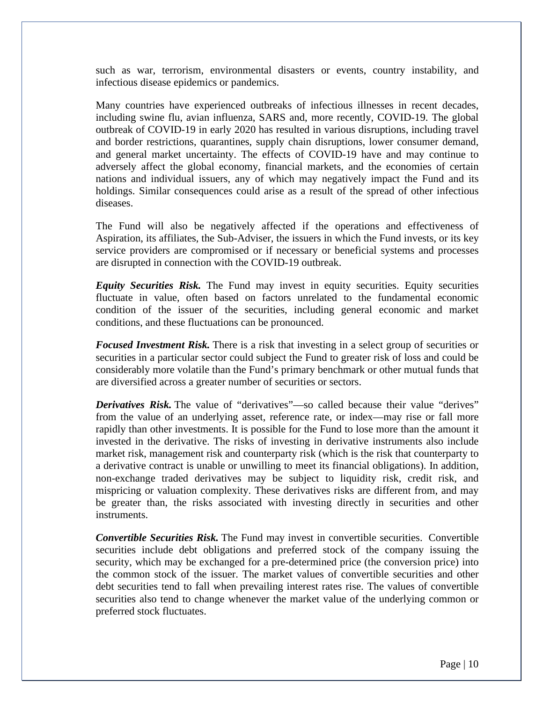such as war, terrorism, environmental disasters or events, country instability, and infectious disease epidemics or pandemics.

Many countries have experienced outbreaks of infectious illnesses in recent decades, including swine flu, avian influenza, SARS and, more recently, COVID-19. The global outbreak of COVID-19 in early 2020 has resulted in various disruptions, including travel and border restrictions, quarantines, supply chain disruptions, lower consumer demand, and general market uncertainty. The effects of COVID-19 have and may continue to adversely affect the global economy, financial markets, and the economies of certain nations and individual issuers, any of which may negatively impact the Fund and its holdings. Similar consequences could arise as a result of the spread of other infectious diseases.

The Fund will also be negatively affected if the operations and effectiveness of Aspiration, its affiliates, the Sub-Adviser, the issuers in which the Fund invests, or its key service providers are compromised or if necessary or beneficial systems and processes are disrupted in connection with the COVID-19 outbreak.

*Equity Securities Risk.* The Fund may invest in equity securities. Equity securities fluctuate in value, often based on factors unrelated to the fundamental economic condition of the issuer of the securities, including general economic and market conditions, and these fluctuations can be pronounced.

*Focused Investment Risk.* There is a risk that investing in a select group of securities or securities in a particular sector could subject the Fund to greater risk of loss and could be considerably more volatile than the Fund's primary benchmark or other mutual funds that are diversified across a greater number of securities or sectors.

*Derivatives Risk.* The value of "derivatives"—so called because their value "derives" from the value of an underlying asset, reference rate, or index—may rise or fall more rapidly than other investments. It is possible for the Fund to lose more than the amount it invested in the derivative. The risks of investing in derivative instruments also include market risk, management risk and counterparty risk (which is the risk that counterparty to a derivative contract is unable or unwilling to meet its financial obligations). In addition, non-exchange traded derivatives may be subject to liquidity risk, credit risk, and mispricing or valuation complexity. These derivatives risks are different from, and may be greater than, the risks associated with investing directly in securities and other instruments.

*Convertible Securities Risk.* The Fund may invest in convertible securities. Convertible securities include debt obligations and preferred stock of the company issuing the security, which may be exchanged for a pre-determined price (the conversion price) into the common stock of the issuer. The market values of convertible securities and other debt securities tend to fall when prevailing interest rates rise. The values of convertible securities also tend to change whenever the market value of the underlying common or preferred stock fluctuates.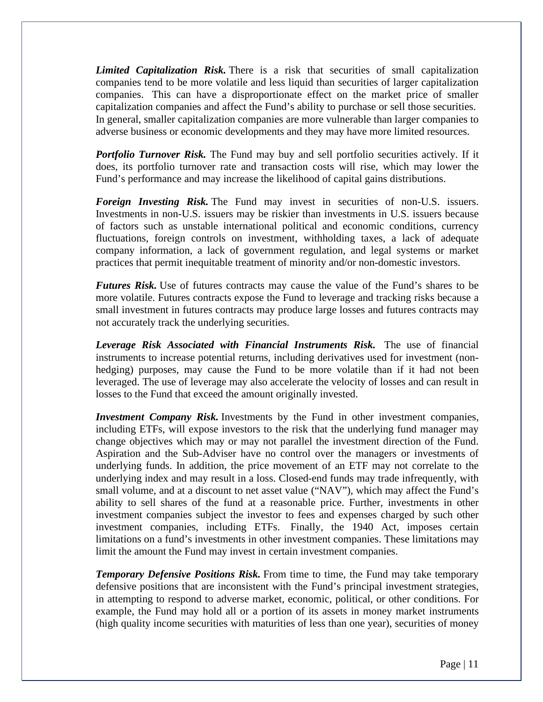*Limited Capitalization Risk.* There is a risk that securities of small capitalization companies tend to be more volatile and less liquid than securities of larger capitalization companies. This can have a disproportionate effect on the market price of smaller capitalization companies and affect the Fund's ability to purchase or sell those securities. In general, smaller capitalization companies are more vulnerable than larger companies to adverse business or economic developments and they may have more limited resources.

*Portfolio Turnover Risk.* The Fund may buy and sell portfolio securities actively. If it does, its portfolio turnover rate and transaction costs will rise, which may lower the Fund's performance and may increase the likelihood of capital gains distributions.

*Foreign Investing Risk.* The Fund may invest in securities of non-U.S. issuers. Investments in non-U.S. issuers may be riskier than investments in U.S. issuers because of factors such as unstable international political and economic conditions, currency fluctuations, foreign controls on investment, withholding taxes, a lack of adequate company information, a lack of government regulation, and legal systems or market practices that permit inequitable treatment of minority and/or non-domestic investors.

*Futures Risk.* Use of futures contracts may cause the value of the Fund's shares to be more volatile. Futures contracts expose the Fund to leverage and tracking risks because a small investment in futures contracts may produce large losses and futures contracts may not accurately track the underlying securities.

*Leverage Risk Associated with Financial Instruments Risk.* The use of financial instruments to increase potential returns, including derivatives used for investment (nonhedging) purposes, may cause the Fund to be more volatile than if it had not been leveraged. The use of leverage may also accelerate the velocity of losses and can result in losses to the Fund that exceed the amount originally invested.

*Investment Company Risk.* Investments by the Fund in other investment companies, including ETFs, will expose investors to the risk that the underlying fund manager may change objectives which may or may not parallel the investment direction of the Fund. Aspiration and the Sub-Adviser have no control over the managers or investments of underlying funds. In addition, the price movement of an ETF may not correlate to the underlying index and may result in a loss. Closed-end funds may trade infrequently, with small volume, and at a discount to net asset value ("NAV"), which may affect the Fund's ability to sell shares of the fund at a reasonable price. Further, investments in other investment companies subject the investor to fees and expenses charged by such other investment companies, including ETFs. Finally, the 1940 Act, imposes certain limitations on a fund's investments in other investment companies. These limitations may limit the amount the Fund may invest in certain investment companies.

*Temporary Defensive Positions Risk.* From time to time, the Fund may take temporary defensive positions that are inconsistent with the Fund's principal investment strategies, in attempting to respond to adverse market, economic, political, or other conditions. For example, the Fund may hold all or a portion of its assets in money market instruments (high quality income securities with maturities of less than one year), securities of money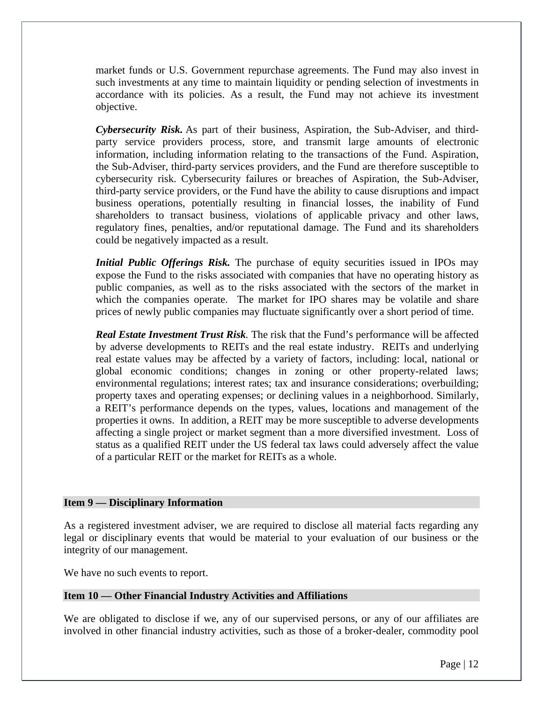market funds or U.S. Government repurchase agreements. The Fund may also invest in such investments at any time to maintain liquidity or pending selection of investments in accordance with its policies. As a result, the Fund may not achieve its investment objective.

*Cybersecurity Risk.* As part of their business, Aspiration, the Sub-Adviser, and thirdparty service providers process, store, and transmit large amounts of electronic information, including information relating to the transactions of the Fund. Aspiration, the Sub-Adviser, third-party services providers, and the Fund are therefore susceptible to cybersecurity risk. Cybersecurity failures or breaches of Aspiration, the Sub-Adviser, third-party service providers, or the Fund have the ability to cause disruptions and impact business operations, potentially resulting in financial losses, the inability of Fund shareholders to transact business, violations of applicable privacy and other laws, regulatory fines, penalties, and/or reputational damage. The Fund and its shareholders could be negatively impacted as a result.

*Initial Public Offerings Risk.* The purchase of equity securities issued in IPOs may expose the Fund to the risks associated with companies that have no operating history as public companies, as well as to the risks associated with the sectors of the market in which the companies operate. The market for IPO shares may be volatile and share prices of newly public companies may fluctuate significantly over a short period of time.

*Real Estate Investment Trust Risk.* The risk that the Fund's performance will be affected by adverse developments to REITs and the real estate industry. REITs and underlying real estate values may be affected by a variety of factors, including: local, national or global economic conditions; changes in zoning or other property-related laws; environmental regulations; interest rates; tax and insurance considerations; overbuilding; property taxes and operating expenses; or declining values in a neighborhood. Similarly, a REIT's performance depends on the types, values, locations and management of the properties it owns. In addition, a REIT may be more susceptible to adverse developments affecting a single project or market segment than a more diversified investment. Loss of status as a qualified REIT under the US federal tax laws could adversely affect the value of a particular REIT or the market for REITs as a whole.

## **Item 9 — Disciplinary Information**

As a registered investment adviser, we are required to disclose all material facts regarding any legal or disciplinary events that would be material to your evaluation of our business or the integrity of our management.

We have no such events to report.

## **Item 10 — Other Financial Industry Activities and Affiliations**

We are obligated to disclose if we, any of our supervised persons, or any of our affiliates are involved in other financial industry activities, such as those of a broker-dealer, commodity pool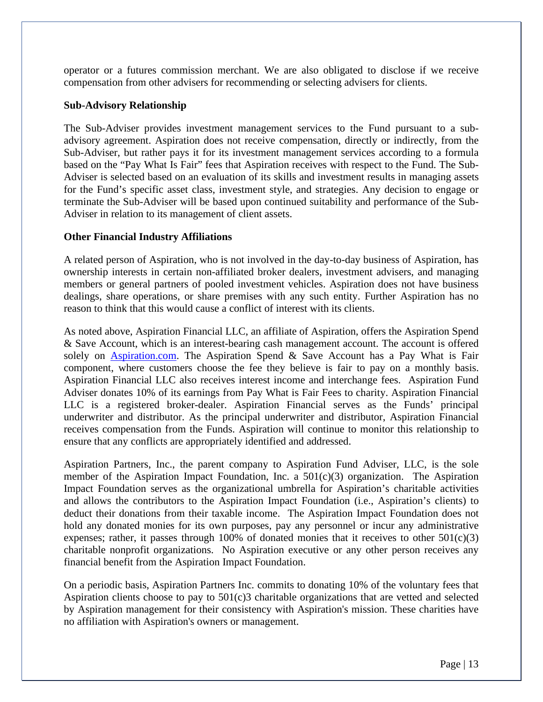operator or a futures commission merchant. We are also obligated to disclose if we receive compensation from other advisers for recommending or selecting advisers for clients.

#### **Sub-Advisory Relationship**

The Sub-Adviser provides investment management services to the Fund pursuant to a subadvisory agreement. Aspiration does not receive compensation, directly or indirectly, from the Sub-Adviser, but rather pays it for its investment management services according to a formula based on the "Pay What Is Fair" fees that Aspiration receives with respect to the Fund. The Sub-Adviser is selected based on an evaluation of its skills and investment results in managing assets for the Fund's specific asset class, investment style, and strategies. Any decision to engage or terminate the Sub-Adviser will be based upon continued suitability and performance of the Sub-Adviser in relation to its management of client assets.

## **Other Financial Industry Affiliations**

A related person of Aspiration, who is not involved in the day-to-day business of Aspiration, has ownership interests in certain non-affiliated broker dealers, investment advisers, and managing members or general partners of pooled investment vehicles. Aspiration does not have business dealings, share operations, or share premises with any such entity. Further Aspiration has no reason to think that this would cause a conflict of interest with its clients.

As noted above, Aspiration Financial LLC, an affiliate of Aspiration, offers the Aspiration Spend & Save Account, which is an interest-bearing cash management account. The account is offered solely on Aspiration.com. The Aspiration Spend & Save Account has a Pay What is Fair component, where customers choose the fee they believe is fair to pay on a monthly basis. Aspiration Financial LLC also receives interest income and interchange fees. Aspiration Fund Adviser donates 10% of its earnings from Pay What is Fair Fees to charity. Aspiration Financial LLC is a registered broker-dealer. Aspiration Financial serves as the Funds' principal underwriter and distributor. As the principal underwriter and distributor, Aspiration Financial receives compensation from the Funds. Aspiration will continue to monitor this relationship to ensure that any conflicts are appropriately identified and addressed.

Aspiration Partners, Inc., the parent company to Aspiration Fund Adviser, LLC, is the sole member of the Aspiration Impact Foundation, Inc. a 501(c)(3) organization. The Aspiration Impact Foundation serves as the organizational umbrella for Aspiration's charitable activities and allows the contributors to the Aspiration Impact Foundation (i.e., Aspiration's clients) to deduct their donations from their taxable income. The Aspiration Impact Foundation does not hold any donated monies for its own purposes, pay any personnel or incur any administrative expenses; rather, it passes through 100% of donated monies that it receives to other  $501(c)(3)$ charitable nonprofit organizations. No Aspiration executive or any other person receives any financial benefit from the Aspiration Impact Foundation.

On a periodic basis, Aspiration Partners Inc. commits to donating 10% of the voluntary fees that Aspiration clients choose to pay to 501(c)3 charitable organizations that are vetted and selected by Aspiration management for their consistency with Aspiration's mission. These charities have no affiliation with Aspiration's owners or management.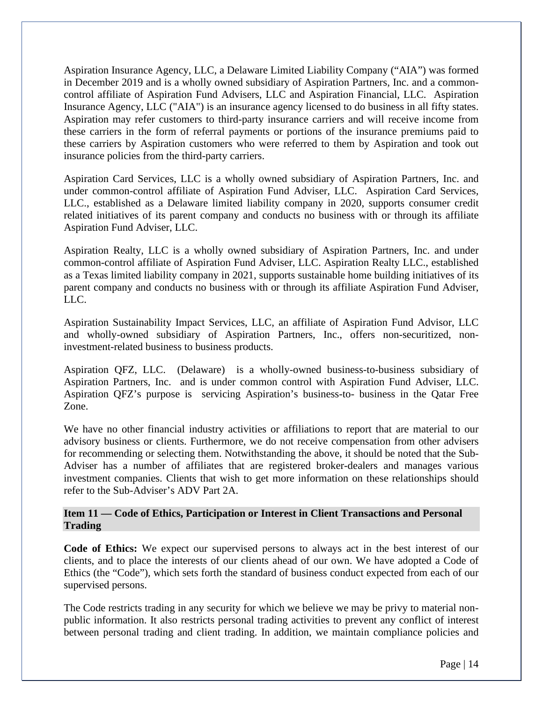Aspiration Insurance Agency, LLC, a Delaware Limited Liability Company ("AIA") was formed in December 2019 and is a wholly owned subsidiary of Aspiration Partners, Inc. and a commoncontrol affiliate of Aspiration Fund Advisers, LLC and Aspiration Financial, LLC. Aspiration Insurance Agency, LLC ("AIA") is an insurance agency licensed to do business in all fifty states. Aspiration may refer customers to third-party insurance carriers and will receive income from these carriers in the form of referral payments or portions of the insurance premiums paid to these carriers by Aspiration customers who were referred to them by Aspiration and took out insurance policies from the third-party carriers.

Aspiration Card Services, LLC is a wholly owned subsidiary of Aspiration Partners, Inc. and under common-control affiliate of Aspiration Fund Adviser, LLC. Aspiration Card Services, LLC., established as a Delaware limited liability company in 2020, supports consumer credit related initiatives of its parent company and conducts no business with or through its affiliate Aspiration Fund Adviser, LLC.

Aspiration Realty, LLC is a wholly owned subsidiary of Aspiration Partners, Inc. and under common-control affiliate of Aspiration Fund Adviser, LLC. Aspiration Realty LLC., established as a Texas limited liability company in 2021, supports sustainable home building initiatives of its parent company and conducts no business with or through its affiliate Aspiration Fund Adviser, LLC.

Aspiration Sustainability Impact Services, LLC, an affiliate of Aspiration Fund Advisor, LLC and wholly-owned subsidiary of Aspiration Partners, Inc., offers non-securitized, noninvestment-related business to business products.

Aspiration QFZ, LLC. (Delaware) is a wholly-owned business-to-business subsidiary of Aspiration Partners, Inc. and is under common control with Aspiration Fund Adviser, LLC. Aspiration QFZ's purpose is servicing Aspiration's business-to- business in the Qatar Free Zone.

We have no other financial industry activities or affiliations to report that are material to our advisory business or clients. Furthermore, we do not receive compensation from other advisers for recommending or selecting them. Notwithstanding the above, it should be noted that the Sub-Adviser has a number of affiliates that are registered broker-dealers and manages various investment companies. Clients that wish to get more information on these relationships should refer to the Sub-Adviser's ADV Part 2A.

## **Item 11 — Code of Ethics, Participation or Interest in Client Transactions and Personal Trading**

**Code of Ethics:** We expect our supervised persons to always act in the best interest of our clients, and to place the interests of our clients ahead of our own. We have adopted a Code of Ethics (the "Code"), which sets forth the standard of business conduct expected from each of our supervised persons.

The Code restricts trading in any security for which we believe we may be privy to material nonpublic information. It also restricts personal trading activities to prevent any conflict of interest between personal trading and client trading. In addition, we maintain compliance policies and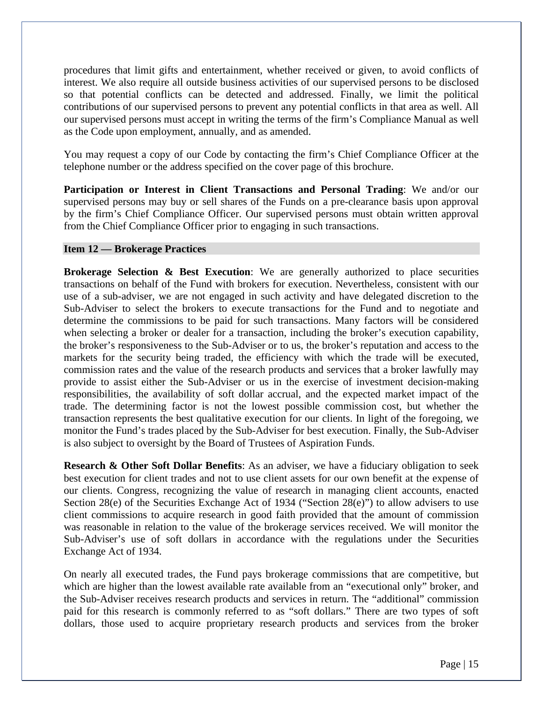procedures that limit gifts and entertainment, whether received or given, to avoid conflicts of interest. We also require all outside business activities of our supervised persons to be disclosed so that potential conflicts can be detected and addressed. Finally, we limit the political contributions of our supervised persons to prevent any potential conflicts in that area as well. All our supervised persons must accept in writing the terms of the firm's Compliance Manual as well as the Code upon employment, annually, and as amended.

You may request a copy of our Code by contacting the firm's Chief Compliance Officer at the telephone number or the address specified on the cover page of this brochure.

**Participation or Interest in Client Transactions and Personal Trading**: We and/or our supervised persons may buy or sell shares of the Funds on a pre-clearance basis upon approval by the firm's Chief Compliance Officer. Our supervised persons must obtain written approval from the Chief Compliance Officer prior to engaging in such transactions.

## **Item 12 — Brokerage Practices**

**Brokerage Selection & Best Execution:** We are generally authorized to place securities transactions on behalf of the Fund with brokers for execution. Nevertheless, consistent with our use of a sub-adviser, we are not engaged in such activity and have delegated discretion to the Sub-Adviser to select the brokers to execute transactions for the Fund and to negotiate and determine the commissions to be paid for such transactions. Many factors will be considered when selecting a broker or dealer for a transaction, including the broker's execution capability, the broker's responsiveness to the Sub-Adviser or to us, the broker's reputation and access to the markets for the security being traded, the efficiency with which the trade will be executed, commission rates and the value of the research products and services that a broker lawfully may provide to assist either the Sub-Adviser or us in the exercise of investment decision-making responsibilities, the availability of soft dollar accrual, and the expected market impact of the trade. The determining factor is not the lowest possible commission cost, but whether the transaction represents the best qualitative execution for our clients. In light of the foregoing, we monitor the Fund's trades placed by the Sub-Adviser for best execution. Finally, the Sub-Adviser is also subject to oversight by the Board of Trustees of Aspiration Funds.

**Research & Other Soft Dollar Benefits**: As an adviser, we have a fiduciary obligation to seek best execution for client trades and not to use client assets for our own benefit at the expense of our clients. Congress, recognizing the value of research in managing client accounts, enacted Section 28(e) of the Securities Exchange Act of 1934 ("Section 28(e)") to allow advisers to use client commissions to acquire research in good faith provided that the amount of commission was reasonable in relation to the value of the brokerage services received. We will monitor the Sub-Adviser's use of soft dollars in accordance with the regulations under the Securities Exchange Act of 1934.

On nearly all executed trades, the Fund pays brokerage commissions that are competitive, but which are higher than the lowest available rate available from an "executional only" broker, and the Sub-Adviser receives research products and services in return. The "additional" commission paid for this research is commonly referred to as "soft dollars." There are two types of soft dollars, those used to acquire proprietary research products and services from the broker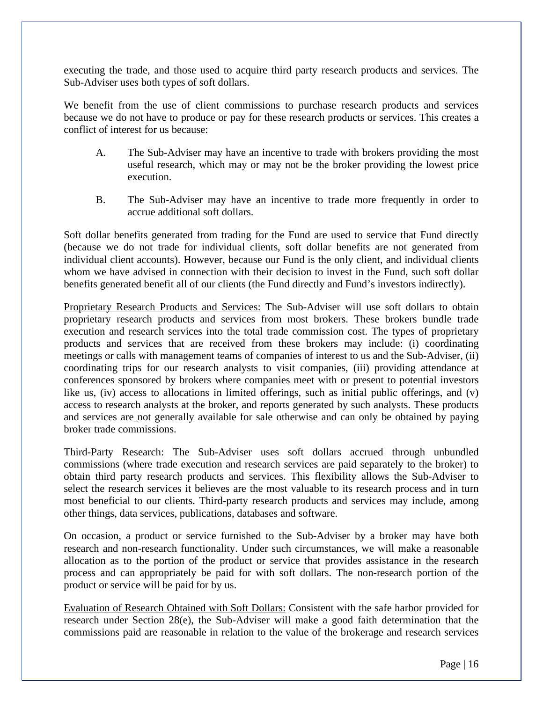executing the trade, and those used to acquire third party research products and services. The Sub-Adviser uses both types of soft dollars.

We benefit from the use of client commissions to purchase research products and services because we do not have to produce or pay for these research products or services. This creates a conflict of interest for us because:

- A. The Sub-Adviser may have an incentive to trade with brokers providing the most useful research, which may or may not be the broker providing the lowest price execution.
- B. The Sub-Adviser may have an incentive to trade more frequently in order to accrue additional soft dollars.

Soft dollar benefits generated from trading for the Fund are used to service that Fund directly (because we do not trade for individual clients, soft dollar benefits are not generated from individual client accounts). However, because our Fund is the only client, and individual clients whom we have advised in connection with their decision to invest in the Fund, such soft dollar benefits generated benefit all of our clients (the Fund directly and Fund's investors indirectly).

Proprietary Research Products and Services: The Sub-Adviser will use soft dollars to obtain proprietary research products and services from most brokers. These brokers bundle trade execution and research services into the total trade commission cost. The types of proprietary products and services that are received from these brokers may include: (i) coordinating meetings or calls with management teams of companies of interest to us and the Sub-Adviser, (ii) coordinating trips for our research analysts to visit companies, (iii) providing attendance at conferences sponsored by brokers where companies meet with or present to potential investors like us, (iv) access to allocations in limited offerings, such as initial public offerings, and (v) access to research analysts at the broker, and reports generated by such analysts. These products and services are not generally available for sale otherwise and can only be obtained by paying broker trade commissions.

Third-Party Research: The Sub-Adviser uses soft dollars accrued through unbundled commissions (where trade execution and research services are paid separately to the broker) to obtain third party research products and services. This flexibility allows the Sub-Adviser to select the research services it believes are the most valuable to its research process and in turn most beneficial to our clients. Third-party research products and services may include, among other things, data services, publications, databases and software.

On occasion, a product or service furnished to the Sub-Adviser by a broker may have both research and non-research functionality. Under such circumstances, we will make a reasonable allocation as to the portion of the product or service that provides assistance in the research process and can appropriately be paid for with soft dollars. The non-research portion of the product or service will be paid for by us.

Evaluation of Research Obtained with Soft Dollars: Consistent with the safe harbor provided for research under Section 28(e), the Sub-Adviser will make a good faith determination that the commissions paid are reasonable in relation to the value of the brokerage and research services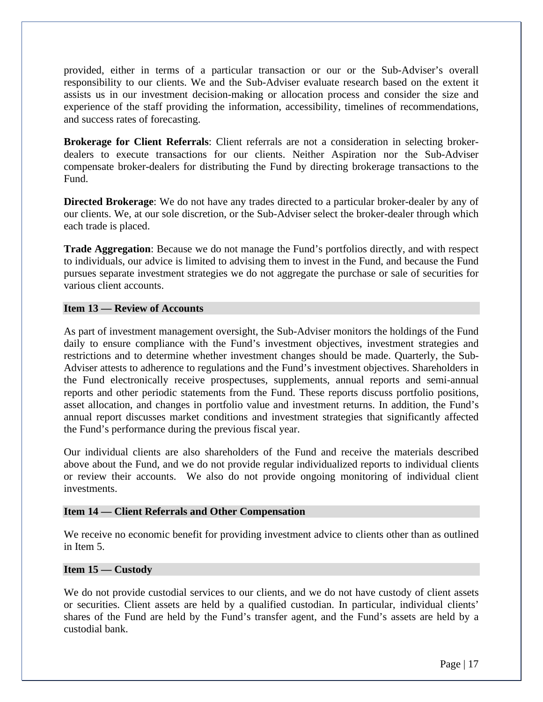provided, either in terms of a particular transaction or our or the Sub-Adviser's overall responsibility to our clients. We and the Sub-Adviser evaluate research based on the extent it assists us in our investment decision-making or allocation process and consider the size and experience of the staff providing the information, accessibility, timelines of recommendations, and success rates of forecasting.

**Brokerage for Client Referrals**: Client referrals are not a consideration in selecting brokerdealers to execute transactions for our clients. Neither Aspiration nor the Sub-Adviser compensate broker-dealers for distributing the Fund by directing brokerage transactions to the Fund.

**Directed Brokerage**: We do not have any trades directed to a particular broker-dealer by any of our clients. We, at our sole discretion, or the Sub-Adviser select the broker-dealer through which each trade is placed.

**Trade Aggregation**: Because we do not manage the Fund's portfolios directly, and with respect to individuals, our advice is limited to advising them to invest in the Fund, and because the Fund pursues separate investment strategies we do not aggregate the purchase or sale of securities for various client accounts.

## **Item 13 — Review of Accounts**

As part of investment management oversight, the Sub-Adviser monitors the holdings of the Fund daily to ensure compliance with the Fund's investment objectives, investment strategies and restrictions and to determine whether investment changes should be made. Quarterly, the Sub-Adviser attests to adherence to regulations and the Fund's investment objectives. Shareholders in the Fund electronically receive prospectuses, supplements, annual reports and semi-annual reports and other periodic statements from the Fund. These reports discuss portfolio positions, asset allocation, and changes in portfolio value and investment returns. In addition, the Fund's annual report discusses market conditions and investment strategies that significantly affected the Fund's performance during the previous fiscal year.

Our individual clients are also shareholders of the Fund and receive the materials described above about the Fund, and we do not provide regular individualized reports to individual clients or review their accounts. We also do not provide ongoing monitoring of individual client investments.

## **Item 14 — Client Referrals and Other Compensation**

We receive no economic benefit for providing investment advice to clients other than as outlined in Item 5.

## **Item 15 — Custody**

We do not provide custodial services to our clients, and we do not have custody of client assets or securities. Client assets are held by a qualified custodian. In particular, individual clients' shares of the Fund are held by the Fund's transfer agent, and the Fund's assets are held by a custodial bank.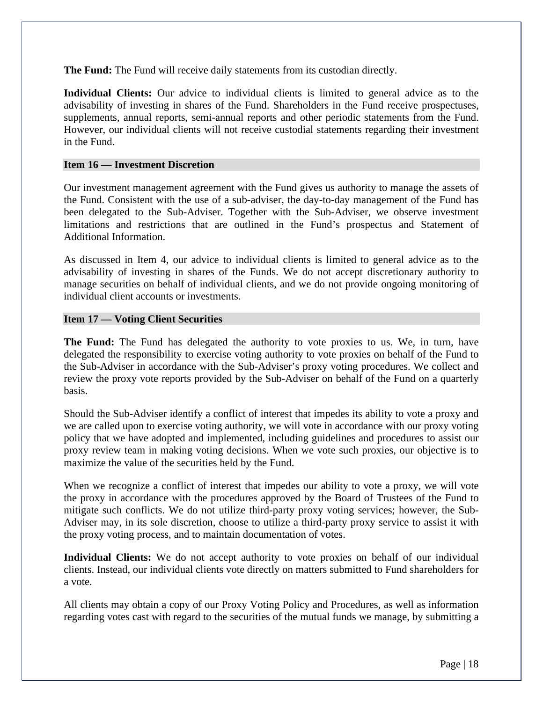**The Fund:** The Fund will receive daily statements from its custodian directly.

**Individual Clients:** Our advice to individual clients is limited to general advice as to the advisability of investing in shares of the Fund. Shareholders in the Fund receive prospectuses, supplements, annual reports, semi-annual reports and other periodic statements from the Fund. However, our individual clients will not receive custodial statements regarding their investment in the Fund.

## **Item 16 — Investment Discretion**

Our investment management agreement with the Fund gives us authority to manage the assets of the Fund. Consistent with the use of a sub-adviser, the day-to-day management of the Fund has been delegated to the Sub-Adviser. Together with the Sub-Adviser, we observe investment limitations and restrictions that are outlined in the Fund's prospectus and Statement of Additional Information.

As discussed in Item 4, our advice to individual clients is limited to general advice as to the advisability of investing in shares of the Funds. We do not accept discretionary authority to manage securities on behalf of individual clients, and we do not provide ongoing monitoring of individual client accounts or investments.

## **Item 17 — Voting Client Securities**

**The Fund:** The Fund has delegated the authority to vote proxies to us. We, in turn, have delegated the responsibility to exercise voting authority to vote proxies on behalf of the Fund to the Sub-Adviser in accordance with the Sub-Adviser's proxy voting procedures. We collect and review the proxy vote reports provided by the Sub-Adviser on behalf of the Fund on a quarterly basis.

Should the Sub-Adviser identify a conflict of interest that impedes its ability to vote a proxy and we are called upon to exercise voting authority, we will vote in accordance with our proxy voting policy that we have adopted and implemented, including guidelines and procedures to assist our proxy review team in making voting decisions. When we vote such proxies, our objective is to maximize the value of the securities held by the Fund.

When we recognize a conflict of interest that impedes our ability to vote a proxy, we will vote the proxy in accordance with the procedures approved by the Board of Trustees of the Fund to mitigate such conflicts. We do not utilize third-party proxy voting services; however, the Sub-Adviser may, in its sole discretion, choose to utilize a third-party proxy service to assist it with the proxy voting process, and to maintain documentation of votes.

**Individual Clients:** We do not accept authority to vote proxies on behalf of our individual clients. Instead, our individual clients vote directly on matters submitted to Fund shareholders for a vote.

All clients may obtain a copy of our Proxy Voting Policy and Procedures, as well as information regarding votes cast with regard to the securities of the mutual funds we manage, by submitting a